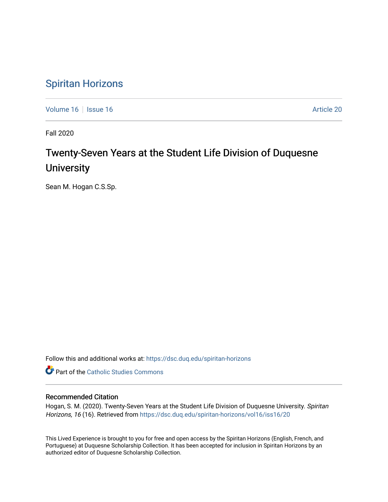## [Spiritan Horizons](https://dsc.duq.edu/spiritan-horizons)

[Volume 16](https://dsc.duq.edu/spiritan-horizons/vol16) September 16 Article 20

Fall 2020

# Twenty-Seven Years at the Student Life Division of Duquesne **University**

Sean M. Hogan C.S.Sp.

Follow this and additional works at: [https://dsc.duq.edu/spiritan-horizons](https://dsc.duq.edu/spiritan-horizons?utm_source=dsc.duq.edu%2Fspiritan-horizons%2Fvol16%2Fiss16%2F20&utm_medium=PDF&utm_campaign=PDFCoverPages)

**Part of the [Catholic Studies Commons](http://network.bepress.com/hgg/discipline/1294?utm_source=dsc.duq.edu%2Fspiritan-horizons%2Fvol16%2Fiss16%2F20&utm_medium=PDF&utm_campaign=PDFCoverPages)** 

#### Recommended Citation

Hogan, S. M. (2020). Twenty-Seven Years at the Student Life Division of Duquesne University. Spiritan Horizons, 16 (16). Retrieved from https://dsc.duq.edu/spiritan-horizons/vol16/iss16/20

This Lived Experience is brought to you for free and open access by the Spiritan Horizons (English, French, and Portuguese) at Duquesne Scholarship Collection. It has been accepted for inclusion in Spiritan Horizons by an authorized editor of Duquesne Scholarship Collection.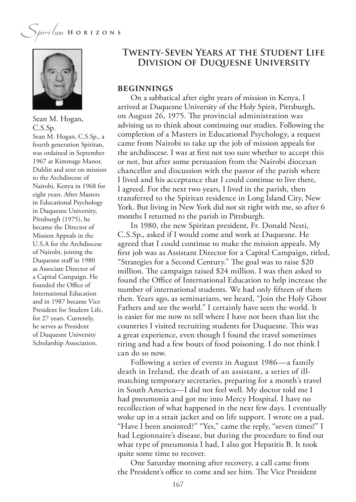

Sean M. Hogan, C.S.Sp.

Sean M. Hogan, C.S.Sp., a fourth generation Spiritan, was ordained in September 1967 at Kimmage Manor, Dublin and sent on mission to the Archdiocese of Nairobi, Kenya in 1968 for eight years. After Masters in Educational Psychology in Duquesne University, Pittsburgh (1975), he became the Director of Mission Appeals in the U.S.A for the Archdiocese of Nairobi, joining the Duquesne staff in 1980 as Associate Director of a Capital Campaign. He founded the Office of International Education and in 1987 became Vice President for Student Life, for 27 years. Currently, he serves as President of Duquesne University Scholarship Association.

### **Twenty-Seven Years at the Student Life Division of Duquesne University**

#### **BEGINNINGS**

On a sabbatical after eight years of mission in Kenya, I arrived at Duquesne University of the Holy Spirit, Pittsburgh, on August 26, 1975. The provincial administration was advising us to think about continuing our studies. Following the completion of a Masters in Educational Psychology, a request came from Nairobi to take up the job of mission appeals for the archdiocese. I was at frst not too sure whether to accept this or not, but after some persuasion from the Nairobi diocesan chancellor and discussion with the pastor of the parish where I lived and his acceptance that I could continue to live there, I agreed. For the next two years, I lived in the parish, then transferred to the Spiritan residence in Long Island City, New York. But living in New York did not sit right with me, so after 6 months I returned to the parish in Pittsburgh.

In 1980, the new Spiritan president, Fr. Donald Nesti, C.S.Sp., asked if I would come and work at Duquesne. He agreed that I could continue to make the mission appeals. My frst job was as Assistant Director for a Capital Campaign, titled, "Strategies for a Second Century." The goal was to raise \$20 million. The campaign raised \$24 million. I was then asked to found the Office of International Education to help increase the number of international students. We had only ffteen of them then. Years ago, as seminarians, we heard, "Join the Holy Ghost Fathers and see the world." I certainly have seen the world. It is easier for me now to tell where I have not been than list the countries I visited recruiting students for Duquesne. This was a great experience, even though I found the travel sometimes tiring and had a few bouts of food poisoning. I do not think I can do so now.

Following a series of events in August 1986—a family death in Ireland, the death of an assistant, a series of illmatching temporary secretaries, preparing for a month's travel in South America—I did not feel well. My doctor told me I had pneumonia and got me into Mercy Hospital. I have no recollection of what happened in the next few days. I eventually woke up in a strait jacket and on life support. I wrote on a pad, "Have I been anointed?" "Yes," came the reply, "seven times!" I had Legionnaire's disease, but during the procedure to fnd out what type of pneumonia I had, I also got Hepatitis B. It took quite some time to recover.

One Saturday morning after recovery, a call came from the President's office to come and see him. The Vice President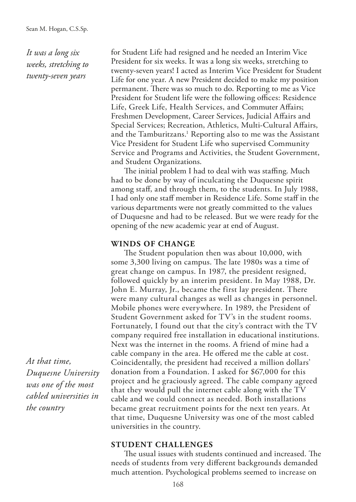*It was a long six weeks, stretching to twenty-seven years*

for Student Life had resigned and he needed an Interim Vice President for six weeks. It was a long six weeks, stretching to twenty-seven years! I acted as Interim Vice President for Student Life for one year. A new President decided to make my position permanent. There was so much to do. Reporting to me as Vice President for Student life were the following offices: Residence Life, Greek Life, Health Services, and Commuter Afairs; Freshmen Development, Career Services, Judicial Afairs and Special Services; Recreation, Athletics, Multi-Cultural Afairs, and the Tamburitzans.<sup>1</sup> Reporting also to me was the Assistant Vice President for Student Life who supervised Community Service and Programs and Activities, the Student Government, and Student Organizations.

The initial problem I had to deal with was staffing. Much had to be done by way of inculcating the Duquesne spirit among staf, and through them, to the students. In July 1988, I had only one staf member in Residence Life. Some staf in the various departments were not greatly committed to the values of Duquesne and had to be released. But we were ready for the opening of the new academic year at end of August.

#### **WINDS OF CHANGE**

The Student population then was about 10,000, with some 3,300 living on campus. The late 1980s was a time of great change on campus. In 1987, the president resigned, followed quickly by an interim president. In May 1988, Dr. John E. Murray, Jr., became the first lay president. There were many cultural changes as well as changes in personnel. Mobile phones were everywhere. In 1989, the President of Student Government asked for TV's in the student rooms. Fortunately, I found out that the city's contract with the TV company required free installation in educational institutions. Next was the internet in the rooms. A friend of mine had a cable company in the area. He ofered me the cable at cost. Coincidentally, the president had received a million dollars' donation from a Foundation. I asked for \$67,000 for this project and he graciously agreed. The cable company agreed that they would pull the internet cable along with the TV cable and we could connect as needed. Both installations became great recruitment points for the next ten years. At that time, Duquesne University was one of the most cabled universities in the country.

#### **STUDENT CHALLENGES**

The usual issues with students continued and increased. The needs of students from very diferent backgrounds demanded much attention. Psychological problems seemed to increase on

*At that time, Duquesne University was one of the most cabled universities in the country*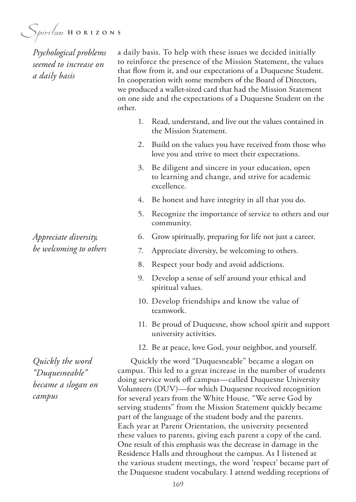*Psychological problems seemed to increase on a daily basis*

a daily basis. To help with these issues we decided initially to reinforce the presence of the Mission Statement, the values that fow from it, and our expectations of a Duquesne Student. In cooperation with some members of the Board of Directors, we produced a wallet-sized card that had the Mission Statement on one side and the expectations of a Duquesne Student on the other.

- 1. Read, understand, and live out the values contained in the Mission Statement.
- 2. Build on the values you have received from those who love you and strive to meet their expectations.
- 3. Be diligent and sincere in your education, open to learning and change, and strive for academic excellence.
- 4. Be honest and have integrity in all that you do.
- 5. Recognize the importance of service to others and our community.
- 6. Grow spiritually, preparing for life not just a career.
- 7. Appreciate diversity, be welcoming to others.
- 8. Respect your body and avoid addictions.
- 9. Develop a sense of self around your ethical and spiritual values.
- 10. Develop friendships and know the value of teamwork.
- 11. Be proud of Duquesne, show school spirit and support university activities.
- 12. Be at peace, love God, your neighbor, and yourself.

Quickly the word "Duquesneable" became a slogan on campus. This led to a great increase in the number of students doing service work off campus—called Duquesne University Volunteers (DUV)—for which Duquesne received recognition for several years from the White House. "We serve God by serving students" from the Mission Statement quickly became part of the language of the student body and the parents. Each year at Parent Orientation, the university presented these values to parents, giving each parent a copy of the card. One result of this emphasis was the decrease in damage in the Residence Halls and throughout the campus. As I listened at the various student meetings, the word 'respect' became part of the Duquesne student vocabulary. I attend wedding receptions of

*Appreciate diversity, be welcoming to others*

*Quickly the word "Duquesneable" became a slogan on campus*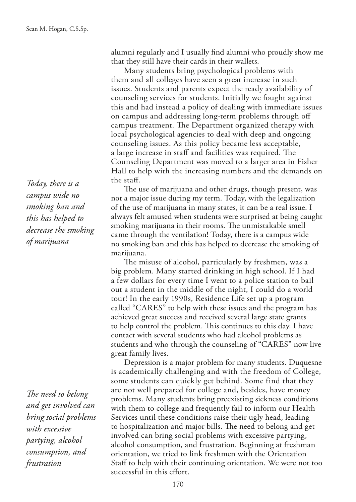alumni regularly and I usually fnd alumni who proudly show me that they still have their cards in their wallets.

Many students bring psychological problems with them and all colleges have seen a great increase in such issues. Students and parents expect the ready availability of counseling services for students. Initially we fought against this and had instead a policy of dealing with immediate issues on campus and addressing long-term problems through of campus treatment. The Department organized therapy with local psychological agencies to deal with deep and ongoing counseling issues. As this policy became less acceptable, a large increase in staff and facilities was required. The Counseling Department was moved to a larger area in Fisher Hall to help with the increasing numbers and the demands on the staf.

The use of marijuana and other drugs, though present, was not a major issue during my term. Today, with the legalization of the use of marijuana in many states, it can be a real issue. I always felt amused when students were surprised at being caught smoking marijuana in their rooms. The unmistakable smell came through the ventilation! Today, there is a campus wide no smoking ban and this has helped to decrease the smoking of marijuana.

The misuse of alcohol, particularly by freshmen, was a big problem. Many started drinking in high school. If I had a few dollars for every time I went to a police station to bail out a student in the middle of the night, I could do a world tour! In the early 1990s, Residence Life set up a program called "CARES" to help with these issues and the program has achieved great success and received several large state grants to help control the problem. This continues to this day. I have contact with several students who had alcohol problems as students and who through the counseling of "CARES" now live great family lives.

Depression is a major problem for many students. Duquesne is academically challenging and with the freedom of College, some students can quickly get behind. Some find that they are not well prepared for college and, besides, have money problems. Many students bring preexisting sickness conditions with them to college and frequently fail to inform our Health Services until these conditions raise their ugly head, leading to hospitalization and major bills. The need to belong and get involved can bring social problems with excessive partying, alcohol consumption, and frustration. Beginning at freshman orientation, we tried to link freshmen with the Orientation Staff to help with their continuing orientation. We were not too successful in this effort.

*Today, there is a campus wide no smoking ban and this has helped to decrease the smoking of marijuana*

The need to belong *and get involved can bring social problems with excessive partying, alcohol consumption, and frustration*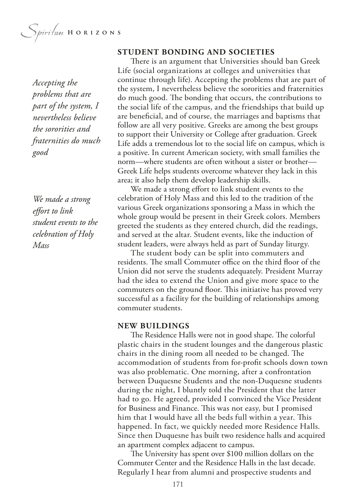Spiritan HORIZONS

*Accepting the problems that are part of the system, I nevertheless believe the sororities and fraternities do much good*

*We made a strong efort to link student events to the celebration of Holy Mass*

#### **STUDENT BONDING AND SOCIETIES**

There is an argument that Universities should ban Greek Life (social organizations at colleges and universities that continue through life). Accepting the problems that are part of the system, I nevertheless believe the sororities and fraternities do much good. The bonding that occurs, the contributions to the social life of the campus, and the friendships that build up are benefcial, and of course, the marriages and baptisms that follow are all very positive. Greeks are among the best groups to support their University or College after graduation. Greek Life adds a tremendous lot to the social life on campus, which is a positive. In current American society, with small families the norm—where students are often without a sister or brother— Greek Life helps students overcome whatever they lack in this area; it also help them develop leadership skills.

We made a strong effort to link student events to the celebration of Holy Mass and this led to the tradition of the various Greek organizations sponsoring a Mass in which the whole group would be present in their Greek colors. Members greeted the students as they entered church, did the readings, and served at the altar. Student events, like the induction of student leaders, were always held as part of Sunday liturgy.

The student body can be split into commuters and residents. The small Commuter office on the third floor of the Union did not serve the students adequately. President Murray had the idea to extend the Union and give more space to the commuters on the ground floor. This initiative has proved very successful as a facility for the building of relationships among commuter students.

#### **NEW BUILDINGS**

The Residence Halls were not in good shape. The colorful plastic chairs in the student lounges and the dangerous plastic chairs in the dining room all needed to be changed. The accommodation of students from for-proft schools down town was also problematic. One morning, after a confrontation between Duquesne Students and the non-Duquesne students during the night, I bluntly told the President that the latter had to go. He agreed, provided I convinced the Vice President for Business and Finance. This was not easy, but I promised him that I would have all the beds full within a year. This happened. In fact, we quickly needed more Residence Halls. Since then Duquesne has built two residence halls and acquired an apartment complex adjacent to campus.

The University has spent over \$100 million dollars on the Commuter Center and the Residence Halls in the last decade. Regularly I hear from alumni and prospective students and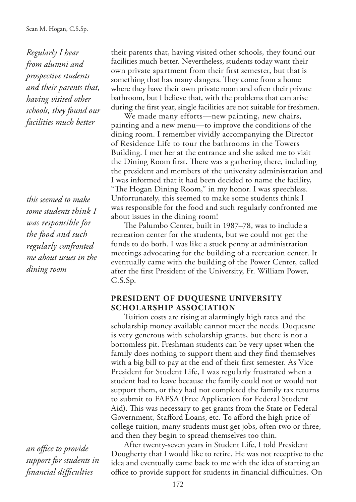*Regularly I hear from alumni and prospective students and their parents that, having visited other schools, they found our facilities much better*

*this seemed to make some students think I was responsible for the food and such regularly confronted me about issues in the dining room*

*an office to provide support for students in fnancial difculties*

their parents that, having visited other schools, they found our facilities much better. Nevertheless, students today want their own private apartment from their frst semester, but that is something that has many dangers. They come from a home where they have their own private room and often their private bathroom, but I believe that, with the problems that can arise during the frst year, single facilities are not suitable for freshmen.

We made many efforts—new painting, new chairs, painting and a new menu—to improve the conditions of the dining room. I remember vividly accompanying the Director of Residence Life to tour the bathrooms in the Towers Building. I met her at the entrance and she asked me to visit the Dining Room first. There was a gathering there, including the president and members of the university administration and I was informed that it had been decided to name the facility, "The Hogan Dining Room," in my honor. I was speechless. Unfortunately, this seemed to make some students think I was responsible for the food and such regularly confronted me about issues in the dining room!

The Palumbo Center, built in 1987–78, was to include a recreation center for the students, but we could not get the funds to do both. I was like a stuck penny at administration meetings advocating for the building of a recreation center. It eventually came with the building of the Power Center, called after the frst President of the University, Fr. William Power, C.S.Sp.

#### **PRESIDENT OF DUQUESNE UNIVERSITY SCHOLARSHIP ASSOCIATION**

Tuition costs are rising at alarmingly high rates and the scholarship money available cannot meet the needs. Duquesne is very generous with scholarship grants, but there is not a bottomless pit. Freshman students can be very upset when the family does nothing to support them and they fnd themselves with a big bill to pay at the end of their frst semester. As Vice President for Student Life, I was regularly frustrated when a student had to leave because the family could not or would not support them, or they had not completed the family tax returns to submit to FAFSA (Free Application for Federal Student Aid). This was necessary to get grants from the State or Federal Government, Stafford Loans, etc. To afford the high price of college tuition, many students must get jobs, often two or three, and then they begin to spread themselves too thin.

After twenty-seven years in Student Life, I told President Dougherty that I would like to retire. He was not receptive to the idea and eventually came back to me with the idea of starting an office to provide support for students in financial difficulties. On